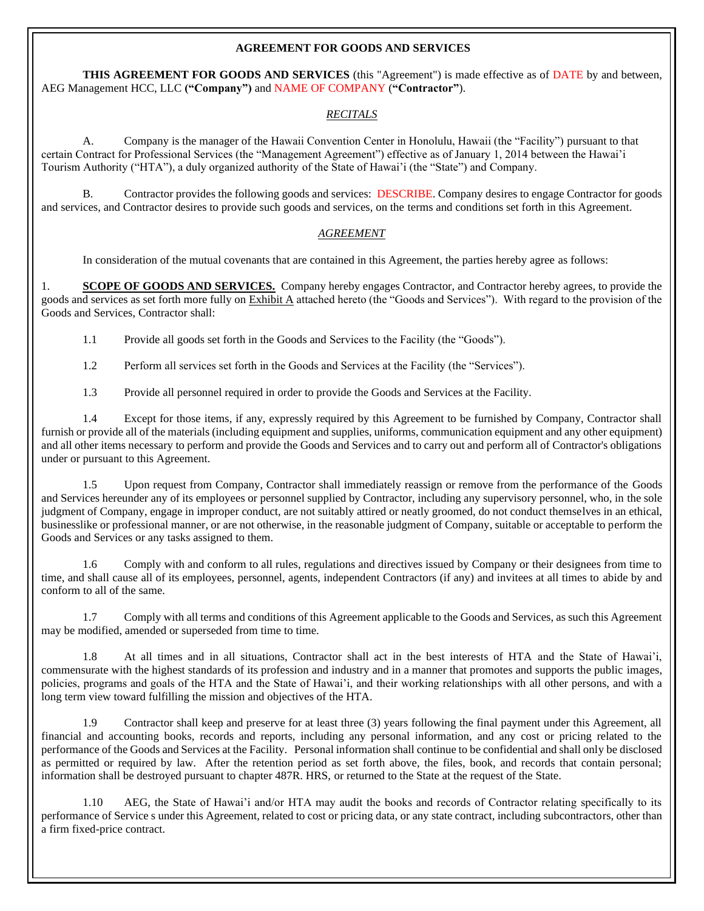#### **AGREEMENT FOR GOODS AND SERVICES**

**THIS AGREEMENT FOR GOODS AND SERVICES** (this "Agreement") is made effective as of DATE by and between, AEG Management HCC, LLC **("Company")** and NAME OF COMPANY (**"Contractor"**).

#### *RECITALS*

A. Company is the manager of the Hawaii Convention Center in Honolulu, Hawaii (the "Facility") pursuant to that certain Contract for Professional Services (the "Management Agreement") effective as of January 1, 2014 between the Hawai'i Tourism Authority ("HTA"), a duly organized authority of the State of Hawai'i (the "State") and Company.

B. Contractor provides the following goods and services: DESCRIBE. Company desires to engage Contractor for goods and services, and Contractor desires to provide such goods and services, on the terms and conditions set forth in this Agreement.

### *AGREEMENT*

In consideration of the mutual covenants that are contained in this Agreement, the parties hereby agree as follows:

1. **SCOPE OF GOODS AND SERVICES.** Company hereby engages Contractor, and Contractor hereby agrees, to provide the goods and services as set forth more fully on Exhibit A attached hereto (the "Goods and Services"). With regard to the provision of the Goods and Services, Contractor shall:

1.1 Provide all goods set forth in the Goods and Services to the Facility (the "Goods").

1.2 Perform all services set forth in the Goods and Services at the Facility (the "Services").

1.3 Provide all personnel required in order to provide the Goods and Services at the Facility.

1.4 Except for those items, if any, expressly required by this Agreement to be furnished by Company, Contractor shall furnish or provide all of the materials (including equipment and supplies, uniforms, communication equipment and any other equipment) and all other items necessary to perform and provide the Goods and Services and to carry out and perform all of Contractor's obligations under or pursuant to this Agreement.

1.5 Upon request from Company, Contractor shall immediately reassign or remove from the performance of the Goods and Services hereunder any of its employees or personnel supplied by Contractor, including any supervisory personnel, who, in the sole judgment of Company, engage in improper conduct, are not suitably attired or neatly groomed, do not conduct themselves in an ethical, businesslike or professional manner, or are not otherwise, in the reasonable judgment of Company, suitable or acceptable to perform the Goods and Services or any tasks assigned to them.

1.6 Comply with and conform to all rules, regulations and directives issued by Company or their designees from time to time, and shall cause all of its employees, personnel, agents, independent Contractors (if any) and invitees at all times to abide by and conform to all of the same.

1.7 Comply with all terms and conditions of this Agreement applicable to the Goods and Services, as such this Agreement may be modified, amended or superseded from time to time.

1.8 At all times and in all situations, Contractor shall act in the best interests of HTA and the State of Hawai'i, commensurate with the highest standards of its profession and industry and in a manner that promotes and supports the public images, policies, programs and goals of the HTA and the State of Hawai'i, and their working relationships with all other persons, and with a long term view toward fulfilling the mission and objectives of the HTA.

1.9 Contractor shall keep and preserve for at least three (3) years following the final payment under this Agreement, all financial and accounting books, records and reports, including any personal information, and any cost or pricing related to the performance of the Goods and Services at the Facility. Personal information shall continue to be confidential and shall only be disclosed as permitted or required by law. After the retention period as set forth above, the files, book, and records that contain personal; information shall be destroyed pursuant to chapter 487R. HRS, or returned to the State at the request of the State.

1.10 AEG, the State of Hawai'i and/or HTA may audit the books and records of Contractor relating specifically to its performance of Service s under this Agreement, related to cost or pricing data, or any state contract, including subcontractors, other than a firm fixed-price contract.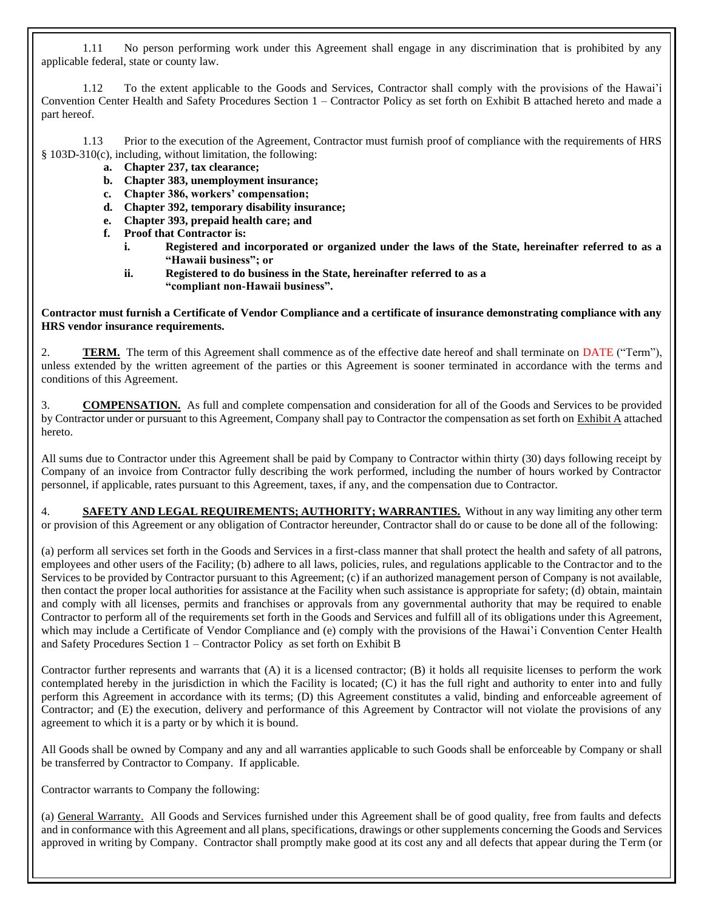1.11 No person performing work under this Agreement shall engage in any discrimination that is prohibited by any applicable federal, state or county law.

1.12 To the extent applicable to the Goods and Services, Contractor shall comply with the provisions of the Hawai'i Convention Center Health and Safety Procedures Section 1 – Contractor Policy as set forth on Exhibit B attached hereto and made a part hereof.

1.13 Prior to the execution of the Agreement, Contractor must furnish proof of compliance with the requirements of HRS § 103D-310(c), including, without limitation, the following:

- **a. Chapter 237, tax clearance;**
- **b. Chapter 383, unemployment insurance;**
- **c. Chapter 386, workers' compensation;**
- **d. Chapter 392, temporary disability insurance;**
- **e. Chapter 393, prepaid health care; and**
- **f. Proof that Contractor is:**
	- **i. Registered and incorporated or organized under the laws of the State, hereinafter referred to as a "Hawaii business"; or**
	- **ii. Registered to do business in the State, hereinafter referred to as a "compliant non-Hawaii business".**

#### **Contractor must furnish a Certificate of Vendor Compliance and a certificate of insurance demonstrating compliance with any HRS vendor insurance requirements.**

2. **TERM.** The term of this Agreement shall commence as of the effective date hereof and shall terminate on DATE ("Term"), unless extended by the written agreement of the parties or this Agreement is sooner terminated in accordance with the terms and conditions of this Agreement.

3. **COMPENSATION.** As full and complete compensation and consideration for all of the Goods and Services to be provided by Contractor under or pursuant to this Agreement, Company shall pay to Contractor the compensation as set forth on Exhibit A attached hereto.

All sums due to Contractor under this Agreement shall be paid by Company to Contractor within thirty (30) days following receipt by Company of an invoice from Contractor fully describing the work performed, including the number of hours worked by Contractor personnel, if applicable, rates pursuant to this Agreement, taxes, if any, and the compensation due to Contractor.

4. **SAFETY AND LEGAL REQUIREMENTS; AUTHORITY; WARRANTIES.** Without in any way limiting any other term or provision of this Agreement or any obligation of Contractor hereunder, Contractor shall do or cause to be done all of the following:

(a) perform all services set forth in the Goods and Services in a first-class manner that shall protect the health and safety of all patrons, employees and other users of the Facility; (b) adhere to all laws, policies, rules, and regulations applicable to the Contractor and to the Services to be provided by Contractor pursuant to this Agreement; (c) if an authorized management person of Company is not available, then contact the proper local authorities for assistance at the Facility when such assistance is appropriate for safety; (d) obtain, maintain and comply with all licenses, permits and franchises or approvals from any governmental authority that may be required to enable Contractor to perform all of the requirements set forth in the Goods and Services and fulfill all of its obligations under this Agreement, which may include a Certificate of Vendor Compliance and (e) comply with the provisions of the Hawai'i Convention Center Health and Safety Procedures Section 1 – Contractor Policy as set forth on Exhibit B

Contractor further represents and warrants that (A) it is a licensed contractor; (B) it holds all requisite licenses to perform the work contemplated hereby in the jurisdiction in which the Facility is located; (C) it has the full right and authority to enter into and fully perform this Agreement in accordance with its terms; (D) this Agreement constitutes a valid, binding and enforceable agreement of Contractor; and (E) the execution, delivery and performance of this Agreement by Contractor will not violate the provisions of any agreement to which it is a party or by which it is bound.

All Goods shall be owned by Company and any and all warranties applicable to such Goods shall be enforceable by Company or shall be transferred by Contractor to Company. If applicable.

Contractor warrants to Company the following:

(a) General Warranty. All Goods and Services furnished under this Agreement shall be of good quality, free from faults and defects and in conformance with this Agreement and all plans, specifications, drawings or other supplements concerning the Goods and Services approved in writing by Company. Contractor shall promptly make good at its cost any and all defects that appear during the Term (or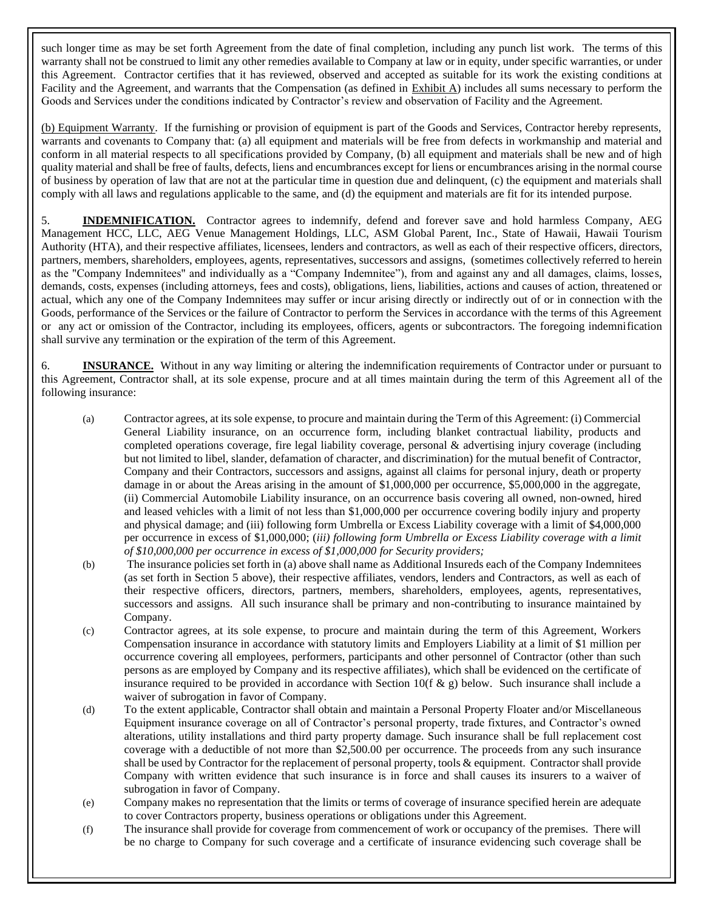such longer time as may be set forth Agreement from the date of final completion, including any punch list work. The terms of this warranty shall not be construed to limit any other remedies available to Company at law or in equity, under specific warranties, or under this Agreement. Contractor certifies that it has reviewed, observed and accepted as suitable for its work the existing conditions at Facility and the Agreement, and warrants that the Compensation (as defined in Exhibit A) includes all sums necessary to perform the Goods and Services under the conditions indicated by Contractor's review and observation of Facility and the Agreement.

(b) Equipment Warranty. If the furnishing or provision of equipment is part of the Goods and Services, Contractor hereby represents, warrants and covenants to Company that: (a) all equipment and materials will be free from defects in workmanship and material and conform in all material respects to all specifications provided by Company, (b) all equipment and materials shall be new and of high quality material and shall be free of faults, defects, liens and encumbrances except for liens or encumbrances arising in the normal course of business by operation of law that are not at the particular time in question due and delinquent, (c) the equipment and materials shall comply with all laws and regulations applicable to the same, and (d) the equipment and materials are fit for its intended purpose.

5. **INDEMNIFICATION.** Contractor agrees to indemnify, defend and forever save and hold harmless Company, AEG Management HCC, LLC, AEG Venue Management Holdings, LLC, ASM Global Parent, Inc., State of Hawaii, Hawaii Tourism Authority (HTA), and their respective affiliates, licensees, lenders and contractors, as well as each of their respective officers, directors, partners, members, shareholders, employees, agents, representatives, successors and assigns, (sometimes collectively referred to herein as the "Company Indemnitees" and individually as a "Company Indemnitee"), from and against any and all damages, claims, losses, demands, costs, expenses (including attorneys, fees and costs), obligations, liens, liabilities, actions and causes of action, threatened or actual, which any one of the Company Indemnitees may suffer or incur arising directly or indirectly out of or in connection with the Goods, performance of the Services or the failure of Contractor to perform the Services in accordance with the terms of this Agreement or any act or omission of the Contractor, including its employees, officers, agents or subcontractors. The foregoing indemnification shall survive any termination or the expiration of the term of this Agreement.

6. **INSURANCE.** Without in any way limiting or altering the indemnification requirements of Contractor under or pursuant to this Agreement, Contractor shall, at its sole expense, procure and at all times maintain during the term of this Agreement all of the following insurance:

- (a) Contractor agrees, at its sole expense, to procure and maintain during the Term of this Agreement: (i) Commercial General Liability insurance, on an occurrence form, including blanket contractual liability, products and completed operations coverage, fire legal liability coverage, personal & advertising injury coverage (including but not limited to libel, slander, defamation of character, and discrimination) for the mutual benefit of Contractor, Company and their Contractors, successors and assigns, against all claims for personal injury, death or property damage in or about the Areas arising in the amount of \$1,000,000 per occurrence, \$5,000,000 in the aggregate, (ii) Commercial Automobile Liability insurance, on an occurrence basis covering all owned, non-owned, hired and leased vehicles with a limit of not less than \$1,000,000 per occurrence covering bodily injury and property and physical damage; and (iii) following form Umbrella or Excess Liability coverage with a limit of \$4,000,000 per occurrence in excess of \$1,000,000; (*iii) following form Umbrella or Excess Liability coverage with a limit of \$10,000,000 per occurrence in excess of \$1,000,000 for Security providers;*
- (b) The insurance policies set forth in (a) above shall name as Additional Insureds each of the Company Indemnitees (as set forth in Section 5 above), their respective affiliates, vendors, lenders and Contractors, as well as each of their respective officers, directors, partners, members, shareholders, employees, agents, representatives, successors and assigns. All such insurance shall be primary and non-contributing to insurance maintained by Company.
- (c) Contractor agrees, at its sole expense, to procure and maintain during the term of this Agreement, Workers Compensation insurance in accordance with statutory limits and Employers Liability at a limit of \$1 million per occurrence covering all employees, performers, participants and other personnel of Contractor (other than such persons as are employed by Company and its respective affiliates), which shall be evidenced on the certificate of insurance required to be provided in accordance with Section 10(f  $\&$  g) below. Such insurance shall include a waiver of subrogation in favor of Company.
- (d) To the extent applicable, Contractor shall obtain and maintain a Personal Property Floater and/or Miscellaneous Equipment insurance coverage on all of Contractor's personal property, trade fixtures, and Contractor's owned alterations, utility installations and third party property damage. Such insurance shall be full replacement cost coverage with a deductible of not more than \$2,500.00 per occurrence. The proceeds from any such insurance shall be used by Contractor for the replacement of personal property, tools & equipment. Contractor shall provide Company with written evidence that such insurance is in force and shall causes its insurers to a waiver of subrogation in favor of Company.
- (e) Company makes no representation that the limits or terms of coverage of insurance specified herein are adequate to cover Contractors property, business operations or obligations under this Agreement.
- (f) The insurance shall provide for coverage from commencement of work or occupancy of the premises. There will be no charge to Company for such coverage and a certificate of insurance evidencing such coverage shall be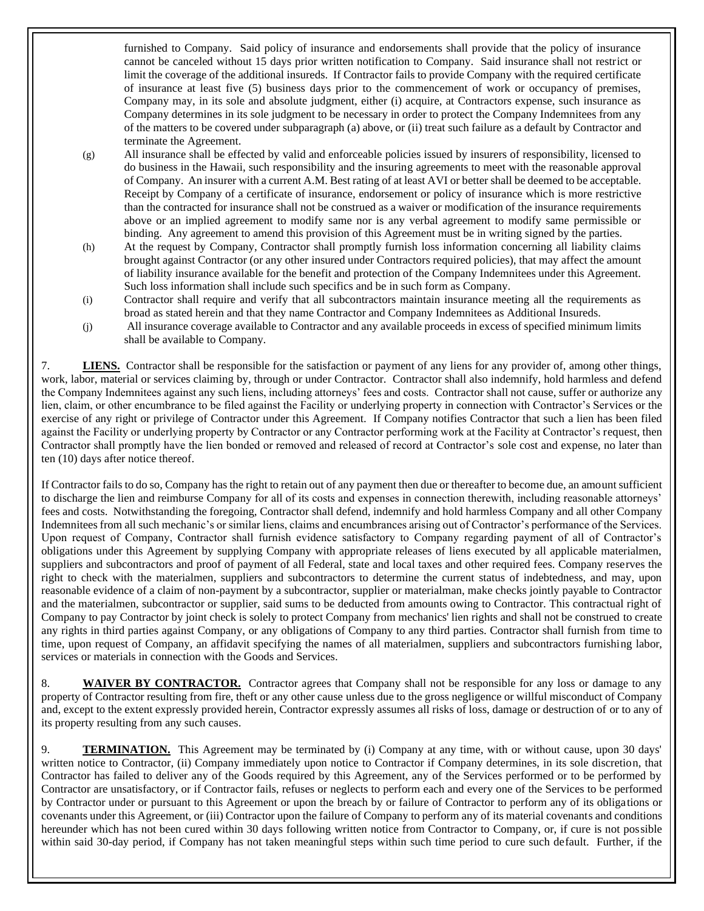furnished to Company. Said policy of insurance and endorsements shall provide that the policy of insurance cannot be canceled without 15 days prior written notification to Company. Said insurance shall not restrict or limit the coverage of the additional insureds. If Contractor fails to provide Company with the required certificate of insurance at least five (5) business days prior to the commencement of work or occupancy of premises, Company may, in its sole and absolute judgment, either (i) acquire, at Contractors expense, such insurance as Company determines in its sole judgment to be necessary in order to protect the Company Indemnitees from any of the matters to be covered under subparagraph (a) above, or (ii) treat such failure as a default by Contractor and terminate the Agreement.

- (g) All insurance shall be effected by valid and enforceable policies issued by insurers of responsibility, licensed to do business in the Hawaii, such responsibility and the insuring agreements to meet with the reasonable approval of Company. An insurer with a current A.M. Best rating of at least AVI or better shall be deemed to be acceptable. Receipt by Company of a certificate of insurance, endorsement or policy of insurance which is more restrictive than the contracted for insurance shall not be construed as a waiver or modification of the insurance requirements above or an implied agreement to modify same nor is any verbal agreement to modify same permissible or binding. Any agreement to amend this provision of this Agreement must be in writing signed by the parties.
- (h) At the request by Company, Contractor shall promptly furnish loss information concerning all liability claims brought against Contractor (or any other insured under Contractors required policies), that may affect the amount of liability insurance available for the benefit and protection of the Company Indemnitees under this Agreement. Such loss information shall include such specifics and be in such form as Company.
- (i) Contractor shall require and verify that all subcontractors maintain insurance meeting all the requirements as broad as stated herein and that they name Contractor and Company Indemnitees as Additional Insureds.
- (j) All insurance coverage available to Contractor and any available proceeds in excess of specified minimum limits shall be available to Company.

7. **LIENS.** Contractor shall be responsible for the satisfaction or payment of any liens for any provider of, among other things, work, labor, material or services claiming by, through or under Contractor. Contractor shall also indemnify, hold harmless and defend the Company Indemnitees against any such liens, including attorneys' fees and costs. Contractor shall not cause, suffer or authorize any lien, claim, or other encumbrance to be filed against the Facility or underlying property in connection with Contractor's Services or the exercise of any right or privilege of Contractor under this Agreement. If Company notifies Contractor that such a lien has been filed against the Facility or underlying property by Contractor or any Contractor performing work at the Facility at Contractor's request, then Contractor shall promptly have the lien bonded or removed and released of record at Contractor's sole cost and expense, no later than ten (10) days after notice thereof.

If Contractor fails to do so, Company has the right to retain out of any payment then due or thereafter to become due, an amount sufficient to discharge the lien and reimburse Company for all of its costs and expenses in connection therewith, including reasonable attorneys' fees and costs. Notwithstanding the foregoing, Contractor shall defend, indemnify and hold harmless Company and all other Company Indemnitees from all such mechanic's or similar liens, claims and encumbrances arising out of Contractor's performance of the Services. Upon request of Company, Contractor shall furnish evidence satisfactory to Company regarding payment of all of Contractor's obligations under this Agreement by supplying Company with appropriate releases of liens executed by all applicable materialmen, suppliers and subcontractors and proof of payment of all Federal, state and local taxes and other required fees. Company reserves the right to check with the materialmen, suppliers and subcontractors to determine the current status of indebtedness, and may, upon reasonable evidence of a claim of non-payment by a subcontractor, supplier or materialman, make checks jointly payable to Contractor and the materialmen, subcontractor or supplier, said sums to be deducted from amounts owing to Contractor. This contractual right of Company to pay Contractor by joint check is solely to protect Company from mechanics' lien rights and shall not be construed to create any rights in third parties against Company, or any obligations of Company to any third parties. Contractor shall furnish from time to time, upon request of Company, an affidavit specifying the names of all materialmen, suppliers and subcontractors furnishing labor, services or materials in connection with the Goods and Services.

8. **WAIVER BY CONTRACTOR.** Contractor agrees that Company shall not be responsible for any loss or damage to any property of Contractor resulting from fire, theft or any other cause unless due to the gross negligence or willful misconduct of Company and, except to the extent expressly provided herein, Contractor expressly assumes all risks of loss, damage or destruction of or to any of its property resulting from any such causes.

9. **TERMINATION.** This Agreement may be terminated by (i) Company at any time, with or without cause, upon 30 days' written notice to Contractor, (ii) Company immediately upon notice to Contractor if Company determines, in its sole discretion, that Contractor has failed to deliver any of the Goods required by this Agreement, any of the Services performed or to be performed by Contractor are unsatisfactory, or if Contractor fails, refuses or neglects to perform each and every one of the Services to be performed by Contractor under or pursuant to this Agreement or upon the breach by or failure of Contractor to perform any of its obligations or covenants under this Agreement, or (iii) Contractor upon the failure of Company to perform any of its material covenants and conditions hereunder which has not been cured within 30 days following written notice from Contractor to Company, or, if cure is not possible within said 30-day period, if Company has not taken meaningful steps within such time period to cure such default. Further, if the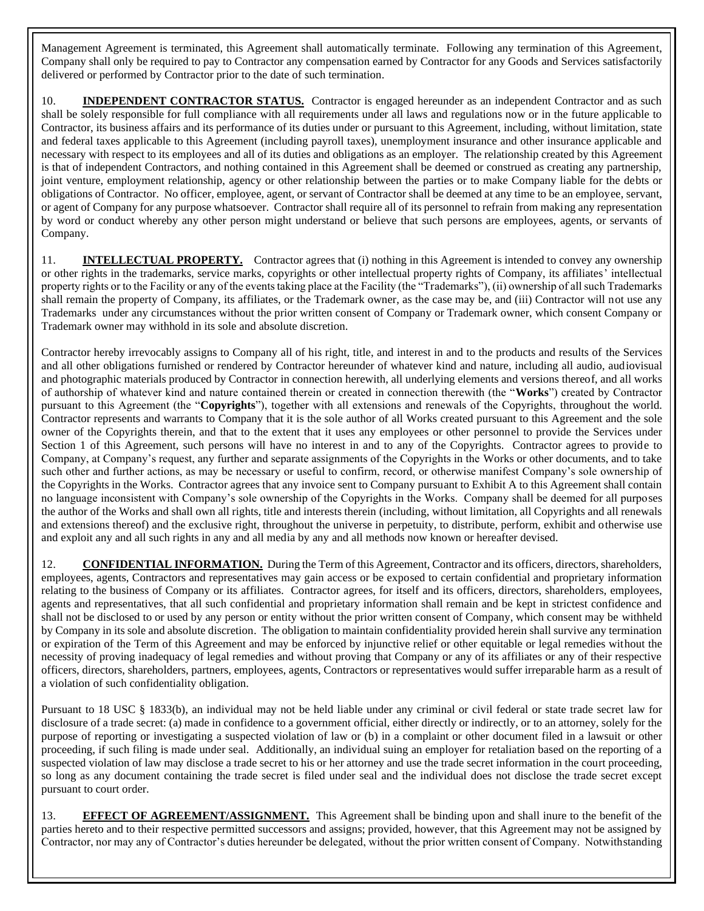Management Agreement is terminated, this Agreement shall automatically terminate. Following any termination of this Agreement, Company shall only be required to pay to Contractor any compensation earned by Contractor for any Goods and Services satisfactorily delivered or performed by Contractor prior to the date of such termination.

10. **INDEPENDENT CONTRACTOR STATUS.** Contractor is engaged hereunder as an independent Contractor and as such shall be solely responsible for full compliance with all requirements under all laws and regulations now or in the future applicable to Contractor, its business affairs and its performance of its duties under or pursuant to this Agreement, including, without limitation, state and federal taxes applicable to this Agreement (including payroll taxes), unemployment insurance and other insurance applicable and necessary with respect to its employees and all of its duties and obligations as an employer. The relationship created by this Agreement is that of independent Contractors, and nothing contained in this Agreement shall be deemed or construed as creating any partnership, joint venture, employment relationship, agency or other relationship between the parties or to make Company liable for the debts or obligations of Contractor. No officer, employee, agent, or servant of Contractor shall be deemed at any time to be an employee, servant, or agent of Company for any purpose whatsoever. Contractor shall require all of its personnel to refrain from making any representation by word or conduct whereby any other person might understand or believe that such persons are employees, agents, or servants of Company.

11. **INTELLECTUAL PROPERTY.** Contractor agrees that (i) nothing in this Agreement is intended to convey any ownership or other rights in the trademarks, service marks, copyrights or other intellectual property rights of Company, its affiliates' intellectual property rights or to the Facility or any of the events taking place at the Facility (the "Trademarks"), (ii) ownership of all such Trademarks shall remain the property of Company, its affiliates, or the Trademark owner, as the case may be, and (iii) Contractor will not use any Trademarks under any circumstances without the prior written consent of Company or Trademark owner, which consent Company or Trademark owner may withhold in its sole and absolute discretion.

Contractor hereby irrevocably assigns to Company all of his right, title, and interest in and to the products and results of the Services and all other obligations furnished or rendered by Contractor hereunder of whatever kind and nature, including all audio, audiovisual and photographic materials produced by Contractor in connection herewith, all underlying elements and versions thereof, and all works of authorship of whatever kind and nature contained therein or created in connection therewith (the "**Works**") created by Contractor pursuant to this Agreement (the "**Copyrights**"), together with all extensions and renewals of the Copyrights, throughout the world. Contractor represents and warrants to Company that it is the sole author of all Works created pursuant to this Agreement and the sole owner of the Copyrights therein, and that to the extent that it uses any employees or other personnel to provide the Services under Section 1 of this Agreement, such persons will have no interest in and to any of the Copyrights. Contractor agrees to provide to Company, at Company's request, any further and separate assignments of the Copyrights in the Works or other documents, and to take such other and further actions, as may be necessary or useful to confirm, record, or otherwise manifest Company's sole ownership of the Copyrights in the Works. Contractor agrees that any invoice sent to Company pursuant to Exhibit A to this Agreement shall contain no language inconsistent with Company's sole ownership of the Copyrights in the Works. Company shall be deemed for all purposes the author of the Works and shall own all rights, title and interests therein (including, without limitation, all Copyrights and all renewals and extensions thereof) and the exclusive right, throughout the universe in perpetuity, to distribute, perform, exhibit and otherwise use and exploit any and all such rights in any and all media by any and all methods now known or hereafter devised.

12. **CONFIDENTIAL INFORMATION.** During the Term of this Agreement, Contractor and its officers, directors, shareholders, employees, agents, Contractors and representatives may gain access or be exposed to certain confidential and proprietary information relating to the business of Company or its affiliates. Contractor agrees, for itself and its officers, directors, shareholders, employees, agents and representatives, that all such confidential and proprietary information shall remain and be kept in strictest confidence and shall not be disclosed to or used by any person or entity without the prior written consent of Company, which consent may be withheld by Company in its sole and absolute discretion. The obligation to maintain confidentiality provided herein shall survive any termination or expiration of the Term of this Agreement and may be enforced by injunctive relief or other equitable or legal remedies without the necessity of proving inadequacy of legal remedies and without proving that Company or any of its affiliates or any of their respective officers, directors, shareholders, partners, employees, agents, Contractors or representatives would suffer irreparable harm as a result of a violation of such confidentiality obligation.

Pursuant to 18 USC § 1833(b), an individual may not be held liable under any criminal or civil federal or state trade secret law for disclosure of a trade secret: (a) made in confidence to a government official, either directly or indirectly, or to an attorney, solely for the purpose of reporting or investigating a suspected violation of law or (b) in a complaint or other document filed in a lawsuit or other proceeding, if such filing is made under seal. Additionally, an individual suing an employer for retaliation based on the reporting of a suspected violation of law may disclose a trade secret to his or her attorney and use the trade secret information in the court proceeding, so long as any document containing the trade secret is filed under seal and the individual does not disclose the trade secret except pursuant to court order.

13. **EFFECT OF AGREEMENT/ASSIGNMENT.** This Agreement shall be binding upon and shall inure to the benefit of the parties hereto and to their respective permitted successors and assigns; provided, however, that this Agreement may not be assigned by Contractor, nor may any of Contractor's duties hereunder be delegated, without the prior written consent of Company. Notwithstanding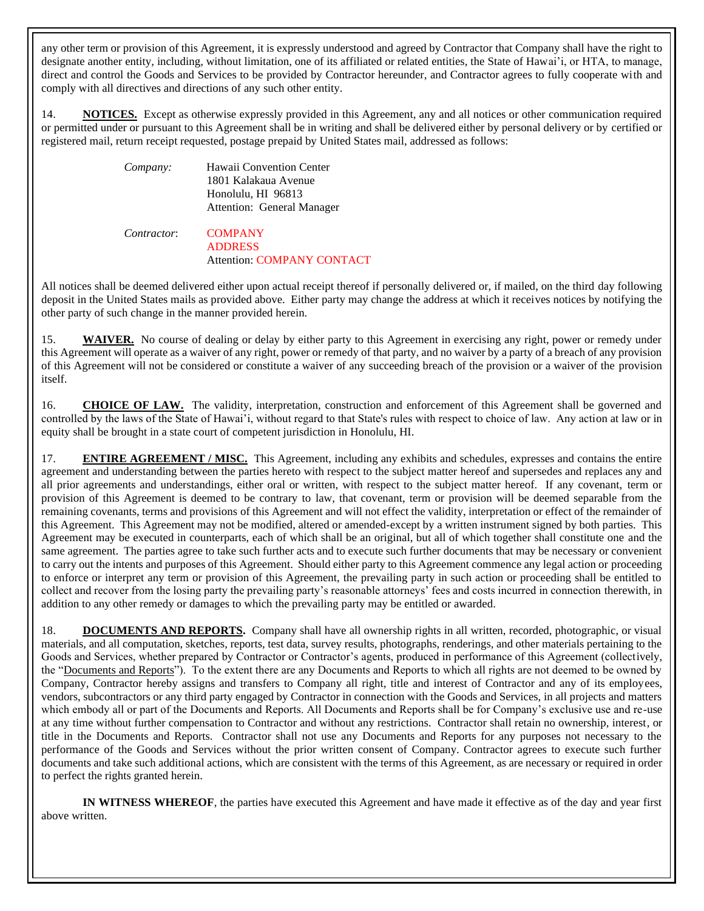any other term or provision of this Agreement, it is expressly understood and agreed by Contractor that Company shall have the right to designate another entity, including, without limitation, one of its affiliated or related entities, the State of Hawai'i, or HTA, to manage, direct and control the Goods and Services to be provided by Contractor hereunder, and Contractor agrees to fully cooperate with and comply with all directives and directions of any such other entity.

14. **NOTICES.** Except as otherwise expressly provided in this Agreement, any and all notices or other communication required or permitted under or pursuant to this Agreement shall be in writing and shall be delivered either by personal delivery or by certified or registered mail, return receipt requested, postage prepaid by United States mail, addressed as follows:

| Company:    | Hawaii Convention Center<br>1801 Kalakaua Avenue<br>Honolulu, HI 96813<br>Attention: General Manager |
|-------------|------------------------------------------------------------------------------------------------------|
| Contractor: | <b>COMPANY</b><br><b>ADDRESS</b>                                                                     |

### Attention: COMPANY CONTACT

All notices shall be deemed delivered either upon actual receipt thereof if personally delivered or, if mailed, on the third day following deposit in the United States mails as provided above. Either party may change the address at which it receives notices by notifying the other party of such change in the manner provided herein.

15. **WAIVER.** No course of dealing or delay by either party to this Agreement in exercising any right, power or remedy under this Agreement will operate as a waiver of any right, power or remedy of that party, and no waiver by a party of a breach of any provision of this Agreement will not be considered or constitute a waiver of any succeeding breach of the provision or a waiver of the provision itself.

16. **CHOICE OF LAW.** The validity, interpretation, construction and enforcement of this Agreement shall be governed and controlled by the laws of the State of Hawai'i, without regard to that State's rules with respect to choice of law. Any action at law or in equity shall be brought in a state court of competent jurisdiction in Honolulu, HI.

**ENTIRE AGREEMENT / MISC.** This Agreement, including any exhibits and schedules, expresses and contains the entire agreement and understanding between the parties hereto with respect to the subject matter hereof and supersedes and replaces any and all prior agreements and understandings, either oral or written, with respect to the subject matter hereof. If any covenant, term or provision of this Agreement is deemed to be contrary to law, that covenant, term or provision will be deemed separable from the remaining covenants, terms and provisions of this Agreement and will not effect the validity, interpretation or effect of the remainder of this Agreement. This Agreement may not be modified, altered or amended-except by a written instrument signed by both parties. This Agreement may be executed in counterparts, each of which shall be an original, but all of which together shall constitute one and the same agreement. The parties agree to take such further acts and to execute such further documents that may be necessary or convenient to carry out the intents and purposes of this Agreement. Should either party to this Agreement commence any legal action or proceeding to enforce or interpret any term or provision of this Agreement, the prevailing party in such action or proceeding shall be entitled to collect and recover from the losing party the prevailing party's reasonable attorneys' fees and costs incurred in connection therewith, in addition to any other remedy or damages to which the prevailing party may be entitled or awarded.

18. **DOCUMENTS AND REPORTS.** Company shall have all ownership rights in all written, recorded, photographic, or visual materials, and all computation, sketches, reports, test data, survey results, photographs, renderings, and other materials pertaining to the Goods and Services, whether prepared by Contractor or Contractor's agents, produced in performance of this Agreement (collectively, the "Documents and Reports"). To the extent there are any Documents and Reports to which all rights are not deemed to be owned by Company, Contractor hereby assigns and transfers to Company all right, title and interest of Contractor and any of its employees, vendors, subcontractors or any third party engaged by Contractor in connection with the Goods and Services, in all projects and matters which embody all or part of the Documents and Reports. All Documents and Reports shall be for Company's exclusive use and re-use at any time without further compensation to Contractor and without any restrictions. Contractor shall retain no ownership, interest, or title in the Documents and Reports. Contractor shall not use any Documents and Reports for any purposes not necessary to the performance of the Goods and Services without the prior written consent of Company. Contractor agrees to execute such further documents and take such additional actions, which are consistent with the terms of this Agreement, as are necessary or required in order to perfect the rights granted herein.

**IN WITNESS WHEREOF**, the parties have executed this Agreement and have made it effective as of the day and year first above written.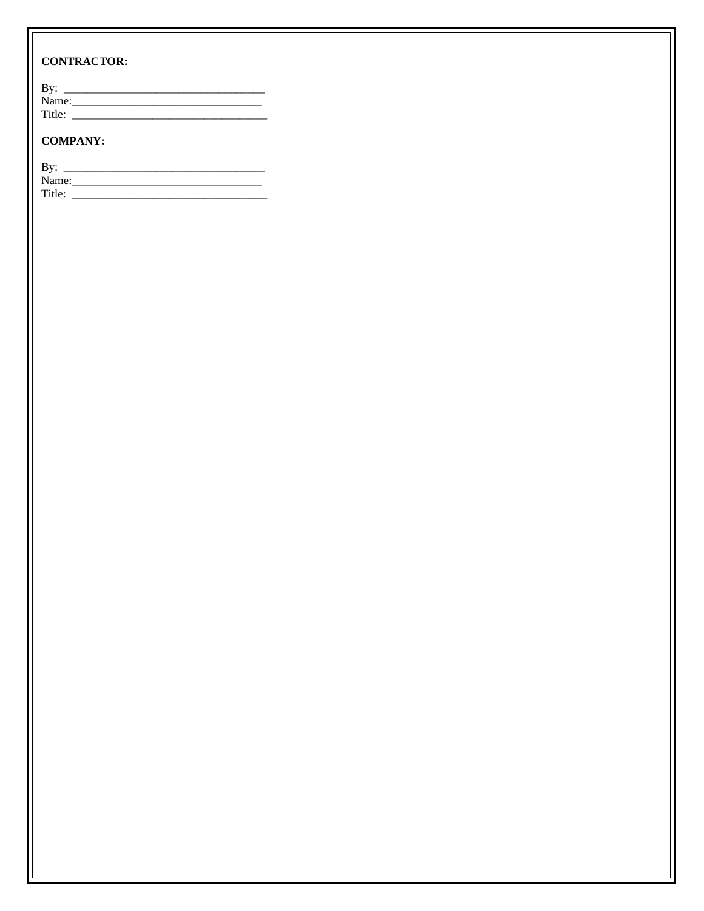# **CONTRACTOR:**

| By:    |  |  |
|--------|--|--|
| Name:  |  |  |
| Title: |  |  |

## **COMPANY:**

| By:    |  |
|--------|--|
| Name:  |  |
| Title: |  |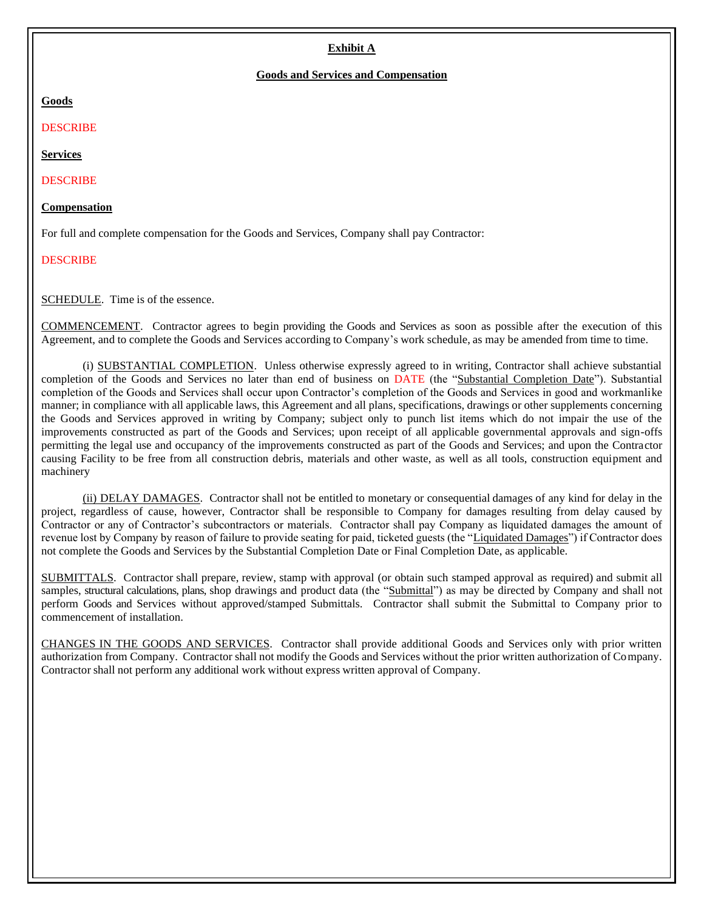## **Exhibit A**

#### **Goods and Services and Compensation**

#### **Goods**

#### DESCRIBE

#### **Services**

#### **DESCRIBE**

#### **Compensation**

For full and complete compensation for the Goods and Services, Company shall pay Contractor:

### DESCRIBE

SCHEDULE. Time is of the essence.

COMMENCEMENT. Contractor agrees to begin providing the Goods and Services as soon as possible after the execution of this Agreement, and to complete the Goods and Services according to Company's work schedule, as may be amended from time to time.

(i) SUBSTANTIAL COMPLETION. Unless otherwise expressly agreed to in writing, Contractor shall achieve substantial completion of the Goods and Services no later than end of business on DATE (the "Substantial Completion Date"). Substantial completion of the Goods and Services shall occur upon Contractor's completion of the Goods and Services in good and workmanlike manner; in compliance with all applicable laws, this Agreement and all plans, specifications, drawings or other supplements concerning the Goods and Services approved in writing by Company; subject only to punch list items which do not impair the use of the improvements constructed as part of the Goods and Services; upon receipt of all applicable governmental approvals and sign-offs permitting the legal use and occupancy of the improvements constructed as part of the Goods and Services; and upon the Contractor causing Facility to be free from all construction debris, materials and other waste, as well as all tools, construction equipment and machinery

(ii) DELAY DAMAGES. Contractor shall not be entitled to monetary or consequential damages of any kind for delay in the project, regardless of cause, however, Contractor shall be responsible to Company for damages resulting from delay caused by Contractor or any of Contractor's subcontractors or materials. Contractor shall pay Company as liquidated damages the amount of revenue lost by Company by reason of failure to provide seating for paid, ticketed guests (the "Liquidated Damages") if Contractor does not complete the Goods and Services by the Substantial Completion Date or Final Completion Date, as applicable.

SUBMITTALS. Contractor shall prepare, review, stamp with approval (or obtain such stamped approval as required) and submit all samples, structural calculations, plans, shop drawings and product data (the "Submittal") as may be directed by Company and shall not perform Goods and Services without approved/stamped Submittals. Contractor shall submit the Submittal to Company prior to commencement of installation.

CHANGES IN THE GOODS AND SERVICES. Contractor shall provide additional Goods and Services only with prior written authorization from Company. Contractor shall not modify the Goods and Services without the prior written authorization of Company. Contractor shall not perform any additional work without express written approval of Company.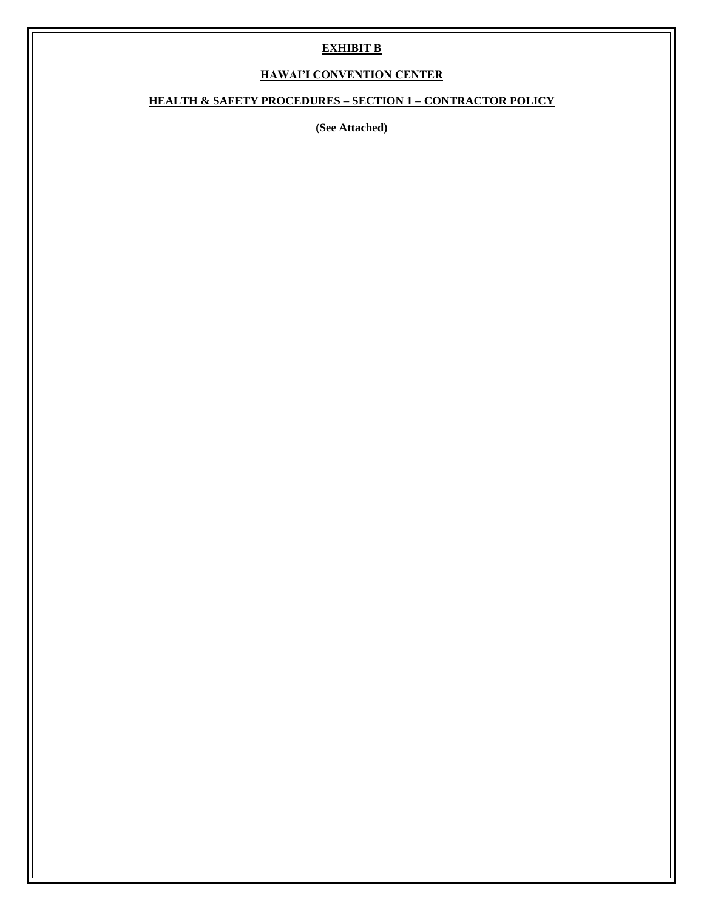## **EXHIBIT B**

# **HAWAI'I CONVENTION CENTER**

# **HEALTH & SAFETY PROCEDURES – SECTION 1 – CONTRACTOR POLICY**

**(See Attached)**